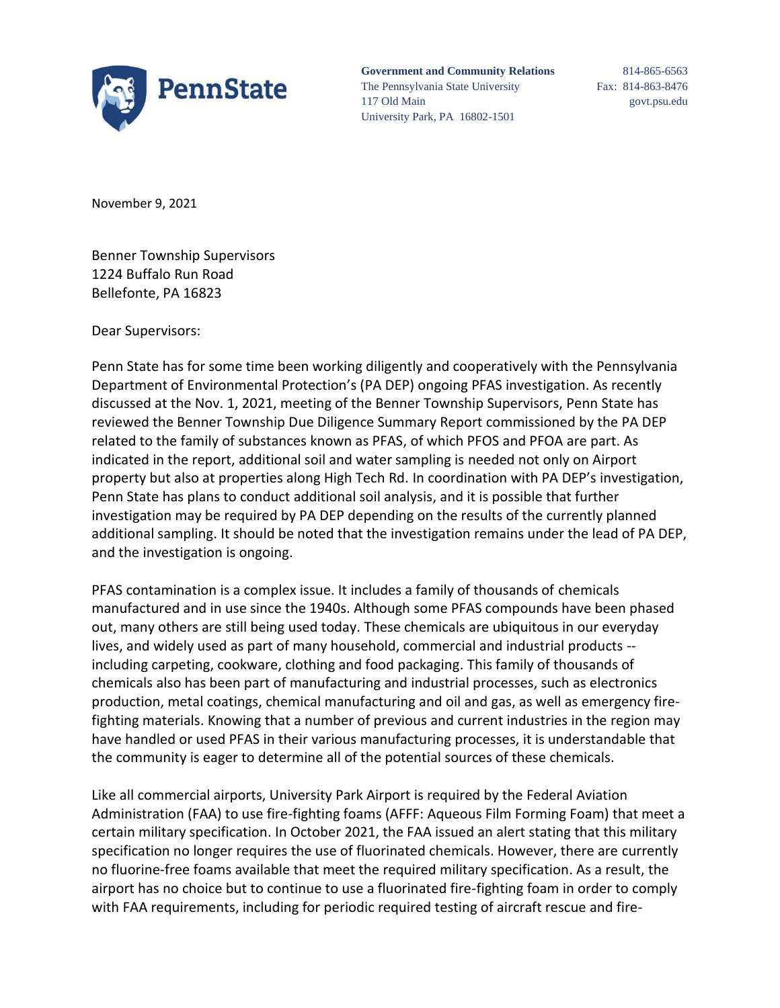

**Government and Community Relations** 814-865-6563 The Pennsylvania State University Fax: 814-863-8476 117 Old Main govt.psu.edu University Park, PA 16802-1501

November 9, 2021

Benner Township Supervisors 1224 Buffalo Run Road Bellefonte, PA 16823

Dear Supervisors:

Penn State has for some time been working diligently and cooperatively with the Pennsylvania Department of Environmental Protection's (PA DEP) ongoing PFAS investigation. As recently discussed at the Nov. 1, 2021, meeting of the Benner Township Supervisors, Penn State has reviewed the Benner Township Due Diligence Summary Report commissioned by the PA DEP related to the family of substances known as PFAS, of which PFOS and PFOA are part. As indicated in the report, additional soil and water sampling is needed not only on Airport property but also at properties along High Tech Rd. In coordination with PA DEP's investigation, Penn State has plans to conduct additional soil analysis, and it is possible that further investigation may be required by PA DEP depending on the results of the currently planned additional sampling. It should be noted that the investigation remains under the lead of PA DEP, and the investigation is ongoing.

PFAS contamination is a complex issue. It includes a family of thousands of chemicals manufactured and in use since the 1940s. Although some PFAS compounds have been phased out, many others are still being used today. These chemicals are ubiquitous in our everyday lives, and widely used as part of many household, commercial and industrial products - including carpeting, cookware, clothing and food packaging. This family of thousands of chemicals also has been part of manufacturing and industrial processes, such as electronics production, metal coatings, chemical manufacturing and oil and gas, as well as emergency firefighting materials. Knowing that a number of previous and current industries in the region may have handled or used PFAS in their various manufacturing processes, it is understandable that the community is eager to determine all of the potential sources of these chemicals.

Like all commercial airports, University Park Airport is required by the Federal Aviation Administration (FAA) to use fire-fighting foams (AFFF: Aqueous Film Forming Foam) that meet a certain military specification. In October 2021, the FAA issued an alert stating that this military specification no longer requires the use of fluorinated chemicals. However, there are currently no fluorine-free foams available that meet the required military specification. As a result, the airport has no choice but to continue to use a fluorinated fire-fighting foam in order to comply with FAA requirements, including for periodic required testing of aircraft rescue and fire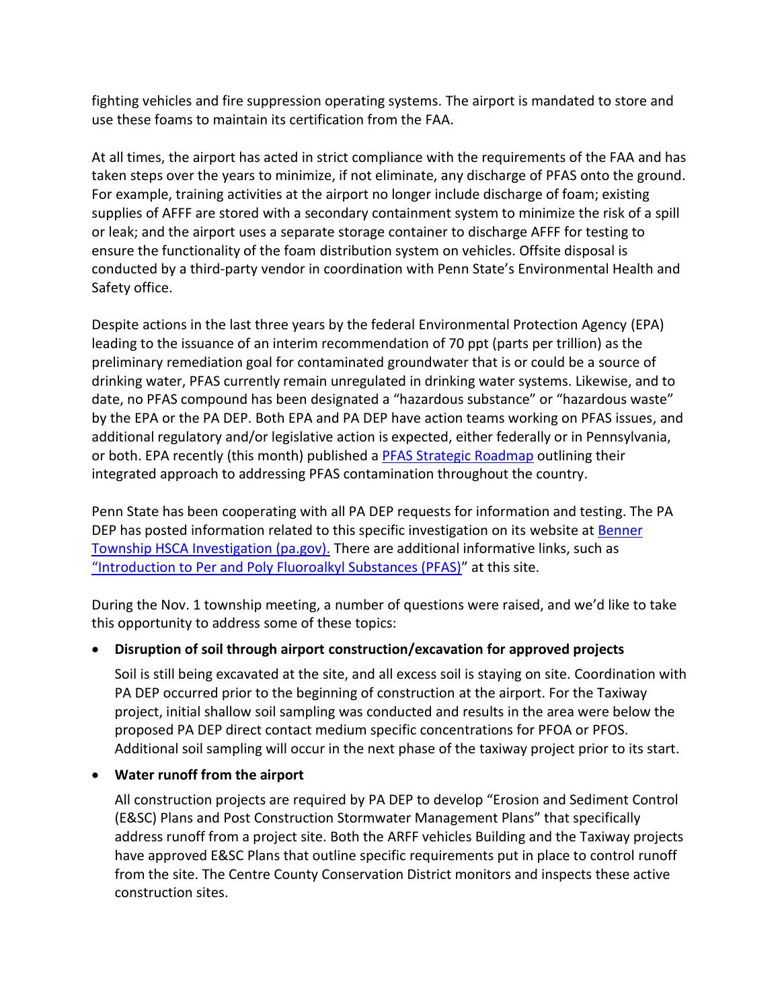fighting vehicles and fire suppression operating systems. The airport is mandated to store and use these foams to maintain its certification from the FAA.

At all times, the airport has acted in strict compliance with the requirements of the FAA and has taken steps over the years to minimize, if not eliminate, any discharge of PFAS onto the ground. For example, training activities at the airport no longer include discharge of foam; existing supplies of AFFF are stored with a secondary containment system to minimize the risk of a spill or leak; and the airport uses a separate storage container to discharge AFFF for testing to ensure the functionality of the foam distribution system on vehicles. Offsite disposal is conducted by a third-party vendor in coordination with Penn State's Environmental Health and Safety office.

Despite actions in the last three years by the federal Environmental Protection Agency (EPA) leading to the issuance of an interim recommendation of 70 ppt (parts per trillion) as the preliminary remediation goal for contaminated groundwater that is or could be a source of drinking water, PFAS currently remain unregulated in drinking water systems. Likewise, and to date, no PFAS compound has been designated a "hazardous substance" or "hazardous waste" by the EPA or the PA DEP. Both EPA and PA DEP have action teams working on PFAS issues, and additional regulatory and/or legislative action is expected, either federally or in Pennsylvania, or both. EPA recently (this month) published a [PFAS Strategic Roadmap](https://www.epa.gov/system/files/documents/2021-10/pfas-roadmap_final-508.pdf) outlining their integrated approach to addressing PFAS contamination throughout the country.

Penn State has been cooperating with all PA DEP requests for information and testing. The PA DEP has posted information related to this specific investigation on its website at [Benner](https://www.dep.pa.gov/About/Regional/North-central-Regional-Office/Community-Information/Pages/Benner-Township-HSCA-Investigation.aspx)  [Township HSCA Investigation \(pa.gov\).](https://www.dep.pa.gov/About/Regional/North-central-Regional-Office/Community-Information/Pages/Benner-Township-HSCA-Investigation.aspx) There are additional informative links, such as ["Introduction to Per and Poly Fluoroalkyl Substances \(PFAS\)"](https://files.dep.state.pa.us/PublicParticipation/Citizens%20Advisory%20Council/CACPortalFiles/Meetings/2019_09/DEP_PFAS_Presentation.pdf) at this site.

During the Nov. 1 township meeting, a number of questions were raised, and we'd like to take this opportunity to address some of these topics:

# • **Disruption of soil through airport construction/excavation for approved projects**

Soil is still being excavated at the site, and all excess soil is staying on site. Coordination with PA DEP occurred prior to the beginning of construction at the airport. For the Taxiway project, initial shallow soil sampling was conducted and results in the area were below the proposed PA DEP direct contact medium specific concentrations for PFOA or PFOS. Additional soil sampling will occur in the next phase of the taxiway project prior to its start.

• **Water runoff from the airport**

All construction projects are required by PA DEP to develop "Erosion and Sediment Control (E&SC) Plans and Post Construction Stormwater Management Plans" that specifically address runoff from a project site. Both the ARFF vehicles Building and the Taxiway projects have approved E&SC Plans that outline specific requirements put in place to control runoff from the site. The Centre County Conservation District monitors and inspects these active construction sites.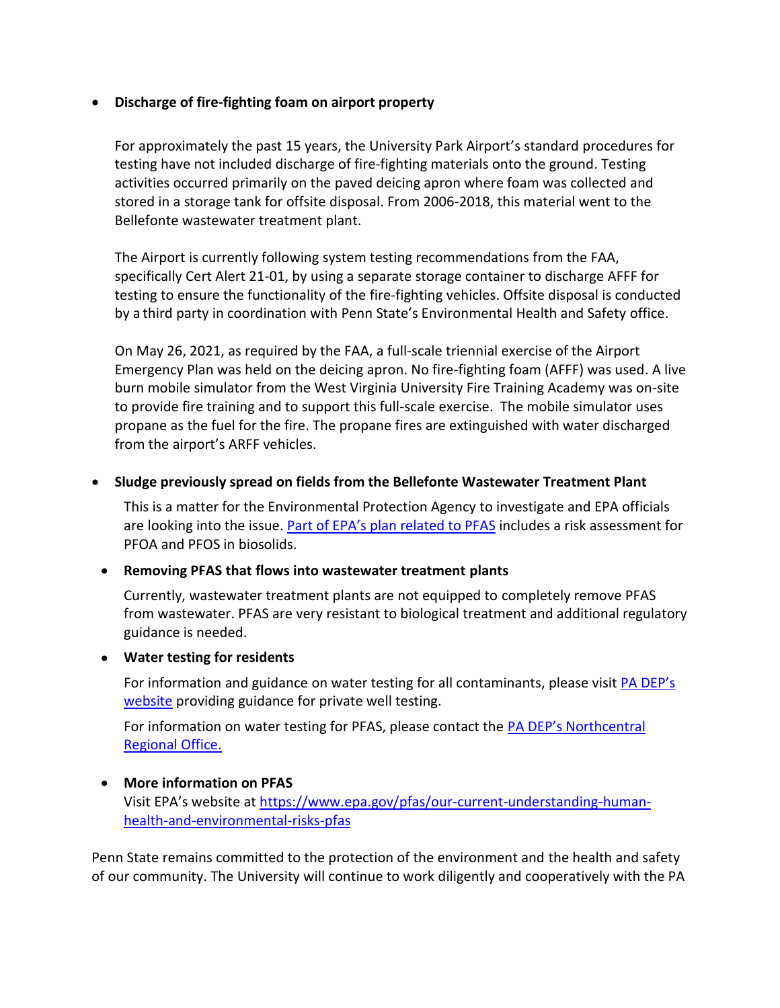## • **Discharge of fire-fighting foam on airport property**

For approximately the past 15 years, the University Park Airport's standard procedures for testing have not included discharge of fire-fighting materials onto the ground. Testing activities occurred primarily on the paved deicing apron where foam was collected and stored in a storage tank for offsite disposal. From 2006-2018, this material went to the Bellefonte wastewater treatment plant.

The Airport is currently following system testing recommendations from the FAA, specifically Cert Alert 21-01, by using a separate storage container to discharge AFFF for testing to ensure the functionality of the fire-fighting vehicles. Offsite disposal is conducted by a third party in coordination with Penn State's Environmental Health and Safety office.

On May 26, 2021, as required by the FAA, a full-scale triennial exercise of the Airport Emergency Plan was held on the deicing apron. No fire-fighting foam (AFFF) was used. A live burn mobile simulator from the West Virginia University Fire Training Academy was on-site to provide fire training and to support this full-scale exercise. The mobile simulator uses propane as the fuel for the fire. The propane fires are extinguished with water discharged from the airport's ARFF vehicles.

### • **Sludge previously spread on fields from the Bellefonte Wastewater Treatment Plant**

This is a matter for the Environmental Protection Agency to investigate and EPA officials are looking into the issue. Part of EPA's [plan related to PFAS](https://www.epa.gov/biosolids/risk-assessment-pollutants-biosolids) includes a risk assessment for PFOA and PFOS in biosolids.

### • **Removing PFAS that flows into wastewater treatment plants**

Currently, wastewater treatment plants are not equipped to completely remove PFAS from wastewater. PFAS are very resistant to biological treatment and additional regulatory guidance is needed.

### • **Water testing for residents**

For information and guidance on water testing for all contaminants, please visit [PA DEP's](https://www.dep.pa.gov/Citizens/My-Water/PrivateWells/Pages/Water-Testing.aspx)  [website](https://www.dep.pa.gov/Citizens/My-Water/PrivateWells/Pages/Water-Testing.aspx) providing guidance for private well testing.

For information on water testing for PFAS, please contact the [PA DEP's Northcentral](http://dep.pa.gov/About/Contact/Pages/default.aspx)  [Regional Office.](http://dep.pa.gov/About/Contact/Pages/default.aspx)

### • **More information on PFAS**

Visit EPA's website at [https://www.epa.gov/pfas/our-current-understanding-human](https://nam10.safelinks.protection.outlook.com/?url=https%3A%2F%2Fwww.epa.gov%2Fpfas%2Four-current-understanding-human-health-and-environmental-risks-pfas&data=04%7C01%7Clmr8%40psu.edu%7Ca93bb55bf867424abf3b08d99f240c1e%7C7cf48d453ddb4389a9c1c115526eb52e%7C0%7C0%7C637715799432312023%7CUnknown%7CTWFpbGZsb3d8eyJWIjoiMC4wLjAwMDAiLCJQIjoiV2luMzIiLCJBTiI6Ik1haWwiLCJXVCI6Mn0%3D%7C1000&sdata=%2BBh4aas0jlsHYt7KCapktfMXaRUzzYxQbnynDIsO0tc%3D&reserved=0)[health-and-environmental-risks-pfas](https://nam10.safelinks.protection.outlook.com/?url=https%3A%2F%2Fwww.epa.gov%2Fpfas%2Four-current-understanding-human-health-and-environmental-risks-pfas&data=04%7C01%7Clmr8%40psu.edu%7Ca93bb55bf867424abf3b08d99f240c1e%7C7cf48d453ddb4389a9c1c115526eb52e%7C0%7C0%7C637715799432312023%7CUnknown%7CTWFpbGZsb3d8eyJWIjoiMC4wLjAwMDAiLCJQIjoiV2luMzIiLCJBTiI6Ik1haWwiLCJXVCI6Mn0%3D%7C1000&sdata=%2BBh4aas0jlsHYt7KCapktfMXaRUzzYxQbnynDIsO0tc%3D&reserved=0)

Penn State remains committed to the protection of the environment and the health and safety of our community. The University will continue to work diligently and cooperatively with the PA